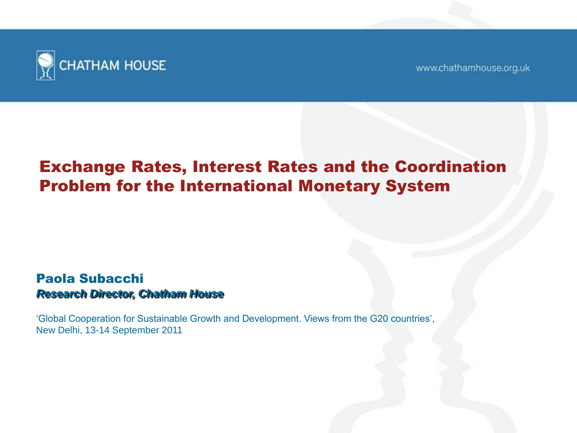

www.chathamhouse.org.uk

### Exchange Rates, Interest Rates and the Coordination Problem for the International Monetary System

#### Paola Subacchi *Research Director, Chatham House*

'Global Cooperation for Sustainable Growth and Development. Views from the G20 countries', New Delhi, 13-14 September 2011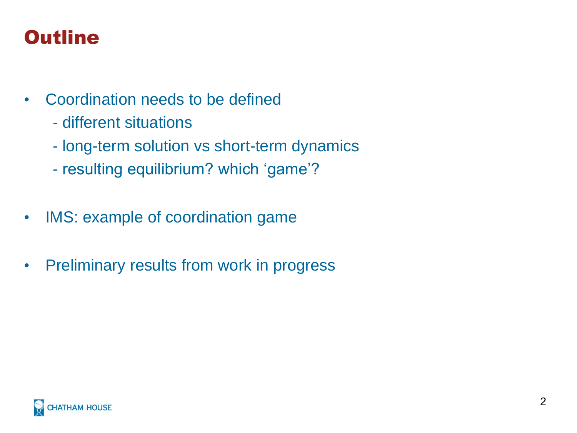## **Outline**

- Coordination needs to be defined
	- different situations
	- long-term solution vs short-term dynamics
	- resulting equilibrium? which 'game'?
- IMS: example of coordination game
- Preliminary results from work in progress

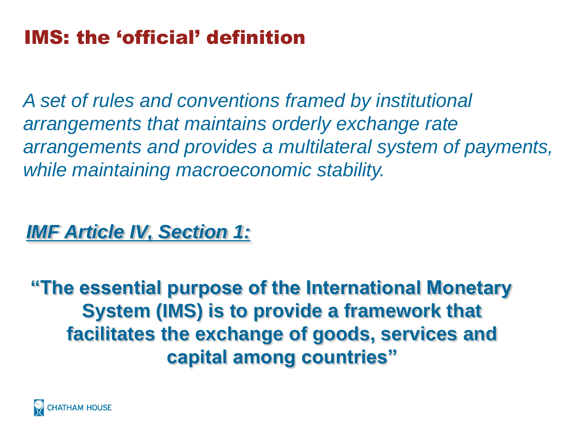## IMS: the 'official' definition

*A set of rules and conventions framed by institutional arrangements that maintains orderly exchange rate arrangements and provides a multilateral system of payments, while maintaining macroeconomic stability.* 

### *IMF Article IV, Section 1:*

**"The essential purpose of the International Monetary System (IMS) is to provide a framework that facilitates the exchange of goods, services and capital among countries"**

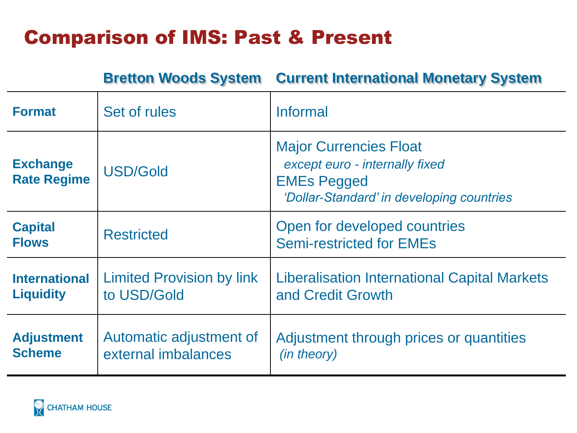## Comparison of IMS: Past & Present

**Bretton Woods System Current International Monetary System**

| <b>Format</b>                            | Set of rules                                    | Informal                                                                                                                           |
|------------------------------------------|-------------------------------------------------|------------------------------------------------------------------------------------------------------------------------------------|
| <b>Exchange</b><br><b>Rate Regime</b>    | <b>USD/Gold</b>                                 | <b>Major Currencies Float</b><br>except euro - internally fixed<br><b>EMEs Pegged</b><br>'Dollar-Standard' in developing countries |
| <b>Capital</b><br><b>Flows</b>           | <b>Restricted</b>                               | Open for developed countries<br><b>Semi-restricted for EMEs</b>                                                                    |
| <b>International</b><br><b>Liquidity</b> | <b>Limited Provision by link</b><br>to USD/Gold | <b>Liberalisation International Capital Markets</b><br>and Credit Growth                                                           |
| <b>Adjustment</b><br><b>Scheme</b>       | Automatic adjustment of<br>external imbalances  | Adjustment through prices or quantities<br>(in theory)                                                                             |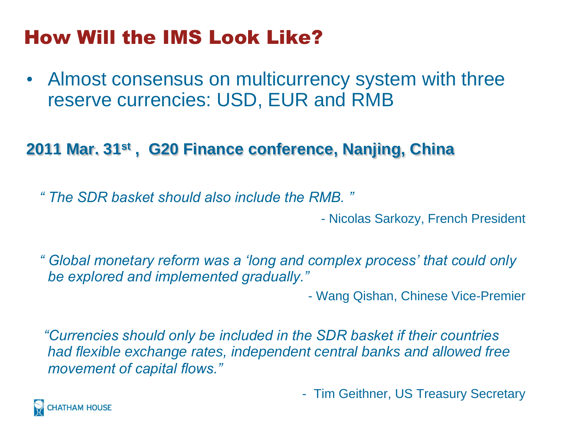## How Will the IMS Look Like?

• Almost consensus on multicurrency system with three reserve currencies: USD, EUR and RMB

### **2011 Mar. 31st , G20 Finance conference, Nanjing, China**

*" The SDR basket should also include the RMB. "*

- Nicolas Sarkozy, French President

*" Global monetary reform was a "long and complex process" that could only be explored and implemented gradually."* 

- Wang Qishan, Chinese Vice-Premier

*"Currencies should only be included in the SDR basket if their countries had flexible exchange rates, independent central banks and allowed free movement of capital flows."*

- Tim Geithner, US Treasury Secretary

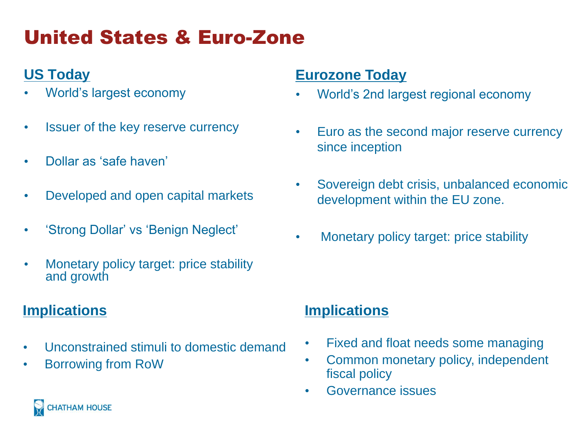# United States & Euro-Zone

### **US Today**

- World's largest economy
- Issuer of the key reserve currency
- Dollar as 'safe haven'
- Developed and open capital markets
- 'Strong Dollar' vs 'Benign Neglect'
- Monetary policy target: price stability and growth

#### **Implications**

- Unconstrained stimuli to domestic demand
- Borrowing from RoW

#### **Eurozone Today**

- World's 2nd largest regional economy
- Euro as the second major reserve currency since inception
- Sovereign debt crisis, unbalanced economic development within the EU zone.
- Monetary policy target: price stability

#### **Implications**

- Fixed and float needs some managing
- Common monetary policy, independent fiscal policy
- Governance issues

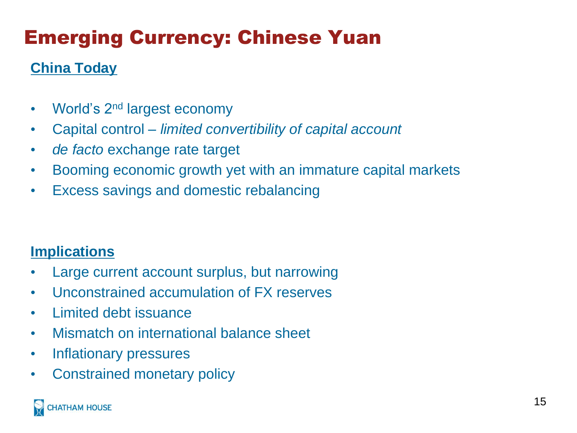# Emerging Currency: Chinese Yuan

### **China Today**

- World's 2<sup>nd</sup> largest economy
- Capital control *limited convertibility of capital account*
- *de facto* exchange rate target
- Booming economic growth yet with an immature capital markets
- Excess savings and domestic rebalancing

#### **Implications**

- Large current account surplus, but narrowing
- Unconstrained accumulation of FX reserves
- Limited debt issuance
- Mismatch on international balance sheet
- Inflationary pressures
- Constrained monetary policy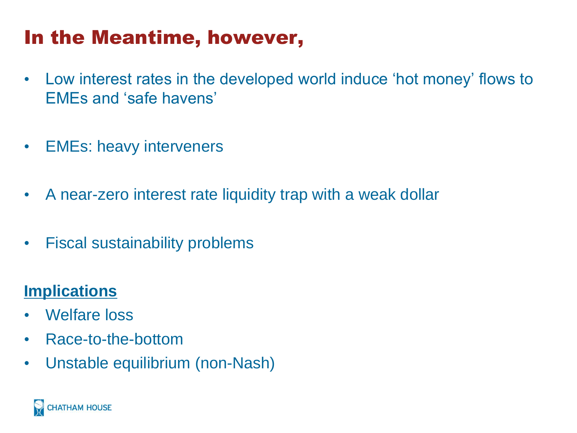## In the Meantime, however,

- Low interest rates in the developed world induce 'hot money' flows to EMEs and 'safe havens'
- EMEs: heavy interveners
- A near-zero interest rate liquidity trap with a weak dollar
- Fiscal sustainability problems

### **Implications**

- Welfare loss
- Race-to-the-bottom
- Unstable equilibrium (non-Nash)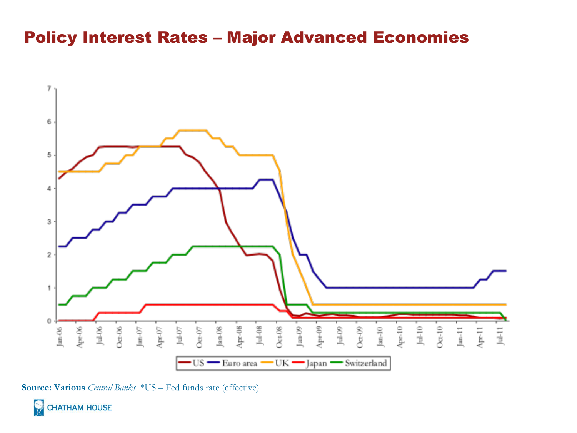### Policy Interest Rates – Major Advanced Economies



**Source: Various** *Central Banks* \*US – Fed funds rate (effective)

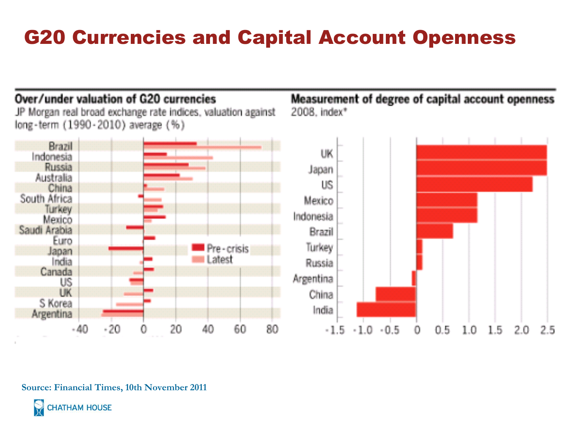## G20 Currencies and Capital Account Openness

#### Over/under valuation of G20 currencies

JP Morgan real broad exchange rate indices, valuation against long-term (1990-2010) average (%)

Measurement of degree of capital account openness 2008. index\*



**Source: Financial Times, 10th November 2011** 

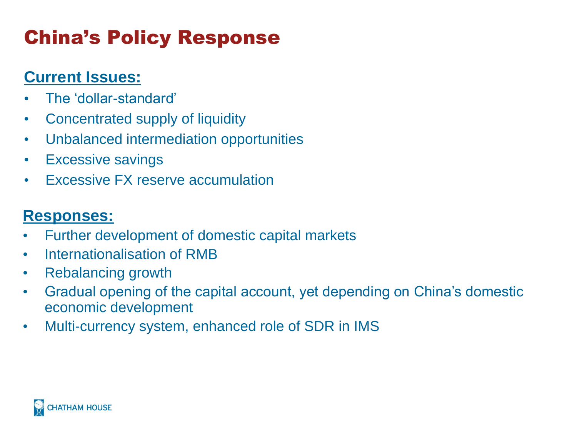# China's Policy Response

### **Current Issues:**

- The 'dollar-standard'
- Concentrated supply of liquidity
- Unbalanced intermediation opportunities
- Excessive savings
- Excessive FX reserve accumulation

### **Responses:**

- Further development of domestic capital markets
- Internationalisation of RMB
- Rebalancing growth
- Gradual opening of the capital account, yet depending on China's domestic economic development
- Multi-currency system, enhanced role of SDR in IMS

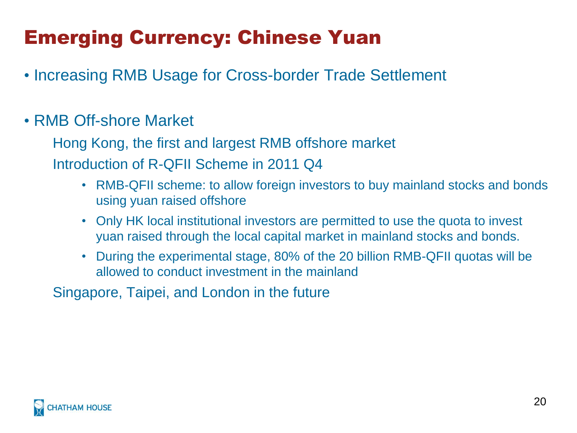## Emerging Currency: Chinese Yuan

• Increasing RMB Usage for Cross-border Trade Settlement

### • RMB Off-shore Market

Hong Kong, the first and largest RMB offshore market Introduction of R-QFII Scheme in 2011 Q4

- RMB-QFII scheme: to allow foreign investors to buy mainland stocks and bonds using yuan raised offshore
- Only HK local institutional investors are permitted to use the quota to invest yuan raised through the local capital market in mainland stocks and bonds.
- During the experimental stage, 80% of the 20 billion RMB-QFII quotas will be allowed to conduct investment in the mainland

Singapore, Taipei, and London in the future

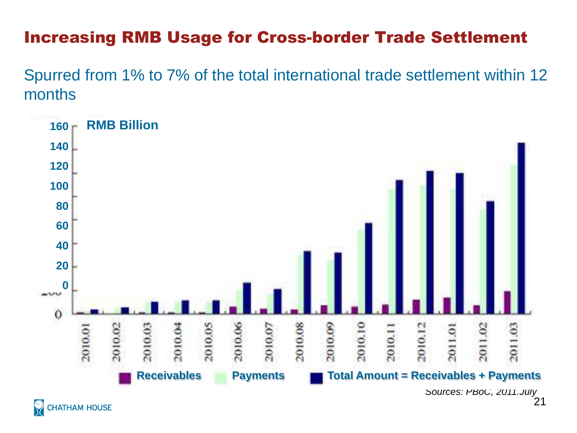### Increasing RMB Usage for Cross-border Trade Settlement

Spurred from 1% to 7% of the total international trade settlement within 12 months



**CHATHAM HOUSE**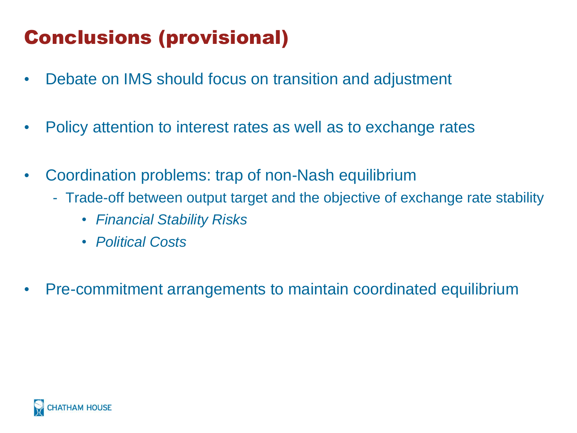## Conclusions (provisional)

- Debate on IMS should focus on transition and adjustment
- Policy attention to interest rates as well as to exchange rates
- Coordination problems: trap of non-Nash equilibrium
	- Trade-off between output target and the objective of exchange rate stability
		- *Financial Stability Risks*
		- *Political Costs*
- Pre-commitment arrangements to maintain coordinated equilibrium